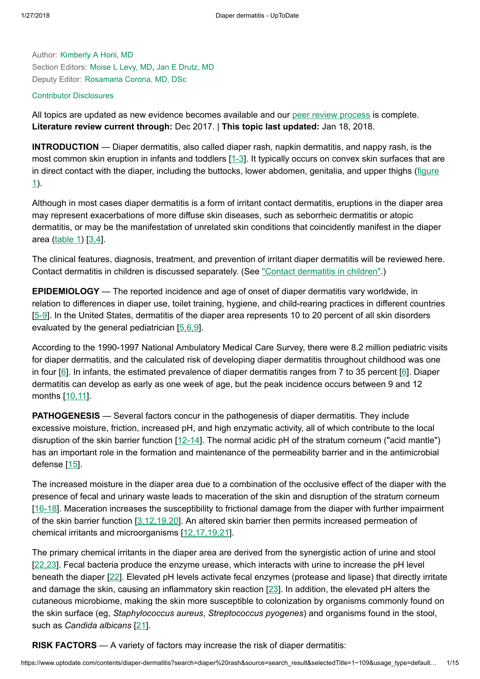Author: [Kimberly](https://www.uptodate.com/contents/diaper-dermatitis/contributors) A Horii, MD Section Editors: [Moise](https://www.uptodate.com/contents/diaper-dermatitis/contributors) L Levy, MD, Jan E [Drutz,](https://www.uptodate.com/contents/diaper-dermatitis/contributors) MD Deputy Editor: [Rosamaria](https://www.uptodate.com/contents/diaper-dermatitis/contributors) Corona, MD, DSc

### Contributor [Disclosures](https://www.uptodate.com/contents/diaper-dermatitis/contributor-disclosure)

All topics are updated as new evidence becomes available and our peer review [process](https://www.uptodate.com/home/editorial-policy) is complete. Literature review current through: Dec 2017. | This topic last updated: Jan 18, 2018.

INTRODUCTION — Diaper dermatitis, also called diaper rash, napkin dermatitis, and nappy rash, is the most common skin eruption in infants and toddlers [\[1-3](https://www.uptodate.com/contents/diaper-dermatitis/abstract/1-3)]. It typically occurs on convex skin surfaces that are in direct contact with the diaper, including the buttocks, lower [abdomen,](https://www.uptodate.com/contents/image?imageKey=PEDS%2F58898&topicKey=DERM%2F5795&search=diaper+rash&rank=1%7E109&source=see_link) genitalia, and upper thighs (figure 1).

Although in most cases diaper dermatitis is a form of irritant contact dermatitis, eruptions in the diaper area may represent exacerbations of more diffuse skin diseases, such as seborrheic dermatitis or atopic dermatitis, or may be the manifestation of unrelated skin conditions that coincidently manifest in the diaper area [\(table](https://www.uptodate.com/contents/image?imageKey=PEDS%2F81540&topicKey=DERM%2F5795&search=diaper+rash&rank=1%7E109&source=see_link) 1) [\[3,4](https://www.uptodate.com/contents/diaper-dermatitis/abstract/3,4)].

The clinical features, diagnosis, treatment, and prevention of irritant diaper dermatitis will be reviewed here. Contact dermatitis in children is discussed separately. (See "Contact [dermatitis](https://www.uptodate.com/contents/contact-dermatitis-in-children?source=see_link) in children".)

EPIDEMIOLOGY — The reported incidence and age of onset of diaper dermatitis vary worldwide, in relation to differences in diaper use, toilet training, hygiene, and child-rearing practices in different countries [[5-9](https://www.uptodate.com/contents/diaper-dermatitis/abstract/5-9)]. In the United States, dermatitis of the diaper area represents 10 to 20 percent of all skin disorders evaluated by the general pediatrician  $[5,6,9]$  $[5,6,9]$ .

According to the 1990-1997 National Ambulatory Medical Care Survey, there were 8.2 million pediatric visits for diaper dermatitis, and the calculated risk of developing diaper dermatitis throughout childhood was one in four [[6\]](https://www.uptodate.com/contents/diaper-dermatitis/abstract/6). In infants, the estimated prevalence of diaper dermatitis ranges from 7 to 35 percent [\[6](https://www.uptodate.com/contents/diaper-dermatitis/abstract/6)]. Diaper dermatitis can develop as early as one week of age, but the peak incidence occurs between 9 and 12 months [[10,11\]](https://www.uptodate.com/contents/diaper-dermatitis/abstract/10,11).

PATHOGENESIS — Several factors concur in the pathogenesis of diaper dermatitis. They include excessive moisture, friction, increased pH, and high enzymatic activity, all of which contribute to the local disruption of the skin barrier function [[12-14](https://www.uptodate.com/contents/diaper-dermatitis/abstract/12-14)]. The normal acidic pH of the stratum corneum ("acid mantle") has an important role in the formation and maintenance of the permeability barrier and in the antimicrobial defense [[15\]](https://www.uptodate.com/contents/diaper-dermatitis/abstract/15).

The increased moisture in the diaper area due to a combination of the occlusive effect of the diaper with the presence of fecal and urinary waste leads to maceration of the skin and disruption of the stratum corneum [[16-18](https://www.uptodate.com/contents/diaper-dermatitis/abstract/16-18)]. Maceration increases the susceptibility to frictional damage from the diaper with further impairment of the skin barrier function [\[3,12,19,20](https://www.uptodate.com/contents/diaper-dermatitis/abstract/3,12,19,20)]. An altered skin barrier then permits increased permeation of chemical irritants and microorganisms [\[12,17,19,21](https://www.uptodate.com/contents/diaper-dermatitis/abstract/12,17,19,21)].

The primary chemical irritants in the diaper area are derived from the synergistic action of urine and stool [[22,23\]](https://www.uptodate.com/contents/diaper-dermatitis/abstract/22,23). Fecal bacteria produce the enzyme urease, which interacts with urine to increase the pH level beneath the diaper [[22\]](https://www.uptodate.com/contents/diaper-dermatitis/abstract/22). Elevated pH levels activate fecal enzymes (protease and lipase) that directly irritate and damage the skin, causing an inflammatory skin reaction [[23\]](https://www.uptodate.com/contents/diaper-dermatitis/abstract/23). In addition, the elevated pH alters the cutaneous microbiome, making the skin more susceptible to colonization by organisms commonly found on the skin surface (eg, Staphylococcus aureus, Streptococcus pyogenes) and organisms found in the stool, such as Candida albicans [[21\]](https://www.uptodate.com/contents/diaper-dermatitis/abstract/21).

**RISK FACTORS** — A variety of factors may increase the risk of diaper dermatitis: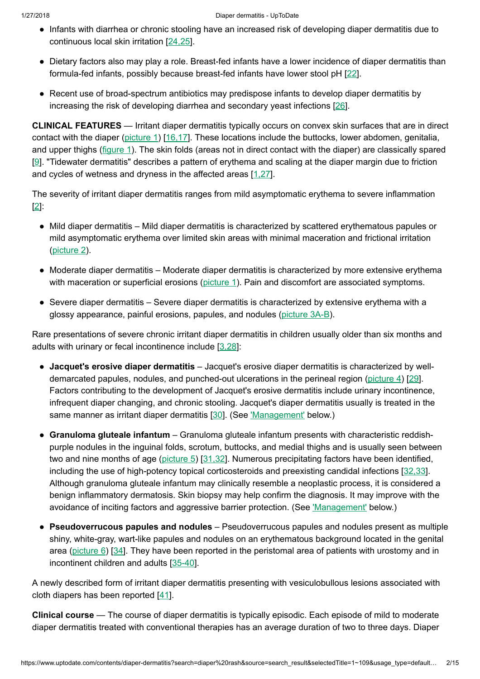- Infants with diarrhea or chronic stooling have an increased risk of developing diaper dermatitis due to continuous local skin irritation [\[24,25](https://www.uptodate.com/contents/diaper-dermatitis/abstract/24,25)].
- Dietary factors also may play a role. Breast-fed infants have a lower incidence of diaper dermatitis than formula-fed infants, possibly because breast-fed infants have lower stool pH [\[22](https://www.uptodate.com/contents/diaper-dermatitis/abstract/22)].
- Recent use of broad-spectrum antibiotics may predispose infants to develop diaper dermatitis by increasing the risk of developing diarrhea and secondary yeast infections [\[26](https://www.uptodate.com/contents/diaper-dermatitis/abstract/26)].

CLINICAL FEATURES — Irritant diaper dermatitis typically occurs on convex skin surfaces that are in direct contact with the diaper [\(picture](https://www.uptodate.com/contents/image?imageKey=DERM%2F90046&topicKey=DERM%2F5795&search=diaper+rash&rank=1%7E109&source=see_link) 1) [\[16,17](https://www.uptodate.com/contents/diaper-dermatitis/abstract/16,17)]. These locations include the buttocks, lower abdomen, genitalia, and upper thighs ([figure](https://www.uptodate.com/contents/image?imageKey=PEDS%2F58898&topicKey=DERM%2F5795&search=diaper+rash&rank=1%7E109&source=see_link) 1). The skin folds (areas not in direct contact with the diaper) are classically spared [[9\]](https://www.uptodate.com/contents/diaper-dermatitis/abstract/9). "Tidewater dermatitis" describes a pattern of erythema and scaling at the diaper margin due to friction and cycles of wetness and dryness in the affected areas [\[1,27](https://www.uptodate.com/contents/diaper-dermatitis/abstract/1,27)].

The severity of irritant diaper dermatitis ranges from mild asymptomatic erythema to severe inflammation [[2\]](https://www.uptodate.com/contents/diaper-dermatitis/abstract/2):

- Mild diaper dermatitis Mild diaper dermatitis is characterized by scattered erythematous papules or mild asymptomatic erythema over limited skin areas with minimal maceration and frictional irritation [\(picture](https://www.uptodate.com/contents/image?imageKey=DERM%2F101457&topicKey=DERM%2F5795&search=diaper+rash&rank=1%7E109&source=see_link) 2).
- Moderate diaper dermatitis Moderate diaper dermatitis is characterized by more extensive erythema with maceration or superficial erosions ([picture](https://www.uptodate.com/contents/image?imageKey=DERM%2F90046&topicKey=DERM%2F5795&search=diaper+rash&rank=1%7E109&source=see_link) 1). Pain and discomfort are associated symptoms.
- Severe diaper dermatitis Severe diaper dermatitis is characterized by extensive erythema with a glossy appearance, painful erosions, papules, and nodules [\(picture](https://www.uptodate.com/contents/image?imageKey=DERM%2F101505%7EDERM%2F101506&topicKey=DERM%2F5795&search=diaper+rash&rank=1%7E109&source=see_link) 3A-B).

Rare presentations of severe chronic irritant diaper dermatitis in children usually older than six months and adults with urinary or fecal incontinence include  $[3,28]$  $[3,28]$ :

- Jacquet's erosive diaper dermatitis Jacquet's erosive diaper dermatitis is characterized by well-demarcated papules, nodules, and punched-out ulcerations in the perineal region [\(picture](https://www.uptodate.com/contents/image?imageKey=DERM%2F90044&topicKey=DERM%2F5795&search=diaper+rash&rank=1%7E109&source=see_link) 4) [\[29](https://www.uptodate.com/contents/diaper-dermatitis/abstract/29)]. Factors contributing to the development of Jacquet's erosive dermatitis include urinary incontinence, infrequent diaper changing, and chronic stooling. Jacquet's diaper dermatitis usually is treated in the same manner as irritant diaper dermatitis [[30\]](https://www.uptodate.com/contents/diaper-dermatitis/abstract/30). (See ['Management'](https://www.uptodate.com/contents/diaper-dermatitis?search=diaper%20rash&source=search_result&selectedTitle=1~109&usage_type=default&display_rank=1#H24) below.)
- Granuloma gluteale infantum Granuloma gluteale infantum presents with characteristic reddishpurple nodules in the inguinal folds, scrotum, buttocks, and medial thighs and is usually seen between two and nine months of age ([picture](https://www.uptodate.com/contents/image?imageKey=DERM%2F90045&topicKey=DERM%2F5795&search=diaper+rash&rank=1%7E109&source=see_link) 5) [[31,32\]](https://www.uptodate.com/contents/diaper-dermatitis/abstract/31,32). Numerous precipitating factors have been identified, including the use of high-potency topical corticosteroids and preexisting candidal infections [\[32,33](https://www.uptodate.com/contents/diaper-dermatitis/abstract/32,33)]. Although granuloma gluteale infantum may clinically resemble a neoplastic process, it is considered a benign inflammatory dermatosis. Skin biopsy may help confirm the diagnosis. It may improve with the avoidance of inciting factors and aggressive barrier protection. (See ['Management'](https://www.uptodate.com/contents/diaper-dermatitis?search=diaper%20rash&source=search_result&selectedTitle=1~109&usage_type=default&display_rank=1#H24) below.)
- Pseudoverrucous papules and nodules Pseudoverrucous papules and nodules present as multiple shiny, white-gray, wart-like papules and nodules on an erythematous background located in the genital area ([picture](https://www.uptodate.com/contents/image?imageKey=DERM%2F101508&topicKey=DERM%2F5795&search=diaper+rash&rank=1%7E109&source=see_link) 6) [[34\]](https://www.uptodate.com/contents/diaper-dermatitis/abstract/34). They have been reported in the peristomal area of patients with urostomy and in incontinent children and adults [[35-40](https://www.uptodate.com/contents/diaper-dermatitis/abstract/35-40)].

A newly described form of irritant diaper dermatitis presenting with vesiculobullous lesions associated with cloth diapers has been reported [[41\]](https://www.uptodate.com/contents/diaper-dermatitis/abstract/41).

Clinical course — The course of diaper dermatitis is typically episodic. Each episode of mild to moderate diaper dermatitis treated with conventional therapies has an average duration of two to three days. Diaper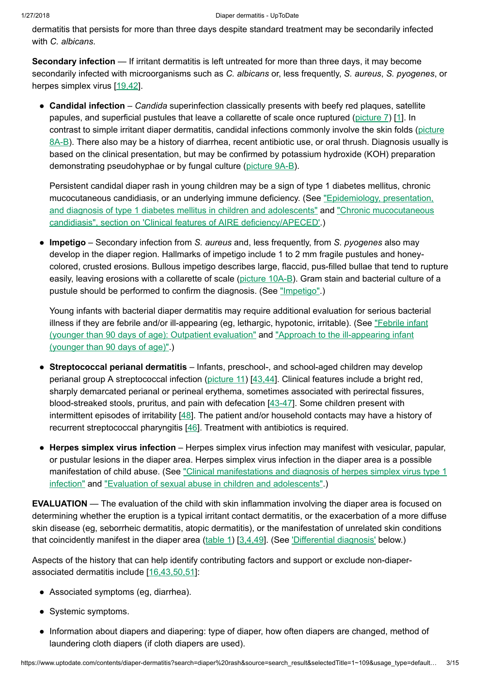dermatitis that persists for more than three days despite standard treatment may be secondarily infected with C. albicans.

Secondary infection — If irritant dermatitis is left untreated for more than three days, it may become secondarily infected with microorganisms such as C. albicans or, less frequently, S. aureus, S. pyogenes, or herpes simplex virus [[19,42\]](https://www.uptodate.com/contents/diaper-dermatitis/abstract/19,42).

• Candidal infection – Candida superinfection classically presents with beefy red plaques, satellite papules, and superficial pustules that leave a collarette of scale once ruptured ( $picture 7$ ) [\[1](https://www.uptodate.com/contents/diaper-dermatitis/abstract/1)]. In contrast to simple irritant diaper dermatitis, [candidal infections](https://www.uptodate.com/contents/image?imageKey=DERM%2F101460%7EPEDS%2F59361&topicKey=DERM%2F5795&search=diaper+rash&rank=1%7E109&source=see_link) commonly involve the skin folds (picture 8A-B). There also may be a history of diarrhea, recent antibiotic use, or oral thrush. Diagnosis usually is based on the clinical presentation, but may be confirmed by potassium hydroxide (KOH) preparation demonstrating pseudohyphae or by fungal culture [\(picture](https://www.uptodate.com/contents/image?imageKey=PC%2F79879%7EPC%2F50344&topicKey=DERM%2F5795&search=diaper+rash&rank=1%7E109&source=see_link) 9A-B).

Persistent candidal diaper rash in young children may be a sign of type 1 diabetes mellitus, chronic [mucocutaneous](https://www.uptodate.com/contents/epidemiology-presentation-and-diagnosis-of-type-1-diabetes-mellitus-in-children-and-adolescents?source=see_link) candidiasis, or an underlying immune deficiency. (See "Epidemiology, presentation, and diagnosis of type 1 diabetes mellitus in children and adolescents" and "Chronic mucocutaneous candidiasis", section on 'Clinical features of AIRE [deficiency/APECED'.\)](https://www.uptodate.com/contents/chronic-mucocutaneous-candidiasis?sectionName=Clinical+features+of+AIRE+deficiency%2FAPECED&anchor=H571998&source=see_link#H571998)

• Impetigo – Secondary infection from S. aureus and, less frequently, from S. pyogenes also may develop in the diaper region. Hallmarks of impetigo include 1 to 2 mm fragile pustules and honeycolored, crusted erosions. Bullous impetigo describes large, flaccid, pus-filled bullae that tend to rupture easily, leaving erosions with a collarette of scale [\(picture](https://www.uptodate.com/contents/image?imageKey=DERM%2F81483%7EDERM%2F101462&topicKey=DERM%2F5795&search=diaper+rash&rank=1%7E109&source=see_link) 10A-B). Gram stain and bacterial culture of a pustule should be performed to confirm the diagnosis. (See ["Impetigo".](https://www.uptodate.com/contents/impetigo?source=see_link))

Young infants with bacterial diaper dermatitis may require additional evaluation for serious bacterial illness if they are febrile and/or [ill-appearing](https://www.uptodate.com/contents/febrile-infant-younger-than-90-days-of-age-outpatient-evaluation?source=see_link) (eg, lethargic, hypotonic, irritable). (See "Febrile infant (younger than 90 days of age): Outpatient evaluation" and "Approach to the [ill-appearing](https://www.uptodate.com/contents/approach-to-the-ill-appearing-infant-younger-than-90-days-of-age?source=see_link) infant (younger than 90 days of age)".)

- Streptococcal perianal dermatitis Infants, preschool-, and school-aged children may develop perianal group A streptococcal infection [\(picture](https://www.uptodate.com/contents/image?imageKey=DERM%2F101598&topicKey=DERM%2F5795&search=diaper+rash&rank=1%7E109&source=see_link) 11) [\[43,44](https://www.uptodate.com/contents/diaper-dermatitis/abstract/43,44)]. Clinical features include a bright red, sharply demarcated perianal or perineal erythema, sometimes associated with perirectal fissures, blood-streaked stools, pruritus, and pain with defecation [\[43-47](https://www.uptodate.com/contents/diaper-dermatitis/abstract/43-47)]. Some children present with intermittent episodes of irritability [[48\]](https://www.uptodate.com/contents/diaper-dermatitis/abstract/48). The patient and/or household contacts may have a history of recurrent streptococcal pharyngitis [\[46](https://www.uptodate.com/contents/diaper-dermatitis/abstract/46)]. Treatment with antibiotics is required.
- Herpes simplex virus infection Herpes simplex virus infection may manifest with vesicular, papular, or pustular lesions in the diaper area. Herpes simplex virus infection in the diaper area is a possible manifestation of child abuse. (See ["Clinical manifestations](https://www.uptodate.com/contents/clinical-manifestations-and-diagnosis-of-herpes-simplex-virus-type-1-infection?source=see_link) and diagnosis of herpes simplex virus type 1 infection" and "Evaluation of [sexual abuse](https://www.uptodate.com/contents/evaluation-of-sexual-abuse-in-children-and-adolescents?source=see_link) in children and adolescents".)

EVALUATION — The evaluation of the child with skin inflammation involving the diaper area is focused on determining whether the eruption is a typical irritant contact dermatitis, or the exacerbation of a more diffuse skin disease (eg, seborrheic dermatitis, atopic dermatitis), or the manifestation of unrelated skin conditions that coincidently manifest in the diaper area ([table](https://www.uptodate.com/contents/image?imageKey=PEDS%2F81540&topicKey=DERM%2F5795&search=diaper+rash&rank=1%7E109&source=see_link) 1) [[3,4,49\]](https://www.uptodate.com/contents/diaper-dermatitis/abstract/3,4,49). (See ['Differential diagnosis'](https://www.uptodate.com/contents/diaper-dermatitis?search=diaper%20rash&source=search_result&selectedTitle=1~109&usage_type=default&display_rank=1#H59215440) below.)

Aspects of the history that can help identify contributing factors and support or exclude non-diaperassociated dermatitis include [\[16,43,50,51](https://www.uptodate.com/contents/diaper-dermatitis/abstract/16,43,50,51)]:

- Associated symptoms (eg, diarrhea).
- Systemic symptoms.
- Information about diapers and diapering: type of diaper, how often diapers are changed, method of laundering cloth diapers (if cloth diapers are used).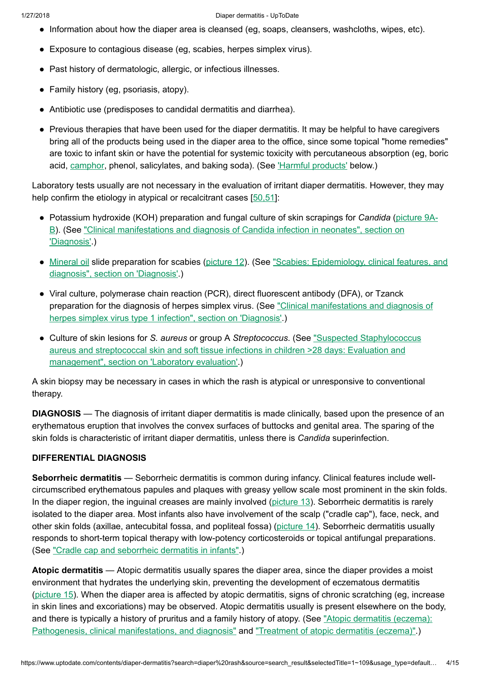- Information about how the diaper area is cleansed (eg, soaps, cleansers, washcloths, wipes, etc).
- Exposure to contagious disease (eg, scabies, herpes simplex virus).
- Past history of dermatologic, allergic, or infectious illnesses.
- Family history (eg, psoriasis, atopy).
- Antibiotic use (predisposes to candidal dermatitis and diarrhea).
- Previous therapies that have been used for the diaper dermatitis. It may be helpful to have caregivers bring all of the products being used in the diaper area to the office, since some topical "home remedies" are toxic to infant skin or have the potential for systemic toxicity with percutaneous absorption (eg, boric acid, [camphor,](https://www.uptodate.com/contents/camphor-drug-information?source=see_link) phenol, salicylates, and baking soda). (See Harmful products' below.)

Laboratory tests usually are not necessary in the evaluation of irritant diaper dermatitis. However, they may help confirm the etiology in atypical or recalcitrant cases [50.51]:

- Potassium hydroxide (KOH) preparation and fungal culture of skin scrapings for Candida (picture 9A-B). (See ["Clinical manifestations](https://www.uptodate.com/contents/image?imageKey=PC%2F79879%7EPC%2F50344&topicKey=DERM%2F5795&search=diaper+rash&rank=1%7E109&source=see_link) and diagnosis of Candida infection in neonates", section on 'Diagnosis'.)
- [Mineral oil](https://www.uptodate.com/contents/mineral-oil-drug-information?source=see_link) slide preparation for scabies ([picture](https://www.uptodate.com/contents/image?imageKey=PC%2F79567&topicKey=DERM%2F5795&search=diaper+rash&rank=1%7E109&source=see_link) 12). (See "Scabies: Epidemiology, [clinical features,](https://www.uptodate.com/contents/scabies-epidemiology-clinical-features-and-diagnosis?sectionName=DIAGNOSIS&anchor=H9&source=see_link#H9) and diagnosis", section on 'Diagnosis'.)
- Viral culture, polymerase chain reaction (PCR), direct fluorescent antibody (DFA), or Tzanck preparation for the diagnosis of herpes simplex virus. (See ["Clinical manifestations](https://www.uptodate.com/contents/clinical-manifestations-and-diagnosis-of-herpes-simplex-virus-type-1-infection?sectionName=DIAGNOSIS&anchor=H25&source=see_link#H25) and diagnosis of herpes simplex virus type 1 infection", section on 'Diagnosis'.)
- Culture of skin lesions for S. aureus or group A Streptococcus. (See "Suspected Staphylococcus aureus and [streptococcal skin](https://www.uptodate.com/contents/suspected-staphylococcus-aureus-and-streptococcal-skin-and-soft-tissue-infections-in-children-greater-than28-days-evaluation-and-management?sectionName=Laboratory+evaluation&anchor=H5&source=see_link#H5) and soft tissue infections in children >28 days: Evaluation and management", section on 'Laboratory evaluation'.)

A skin biopsy may be necessary in cases in which the rash is atypical or unresponsive to conventional therapy.

DIAGNOSIS — The diagnosis of irritant diaper dermatitis is made clinically, based upon the presence of an erythematous eruption that involves the convex surfaces of buttocks and genital area. The sparing of the skin folds is characteristic of irritant diaper dermatitis, unless there is Candida superinfection.

### DIFFERENTIAL DIAGNOSIS

Seborrheic dermatitis - Seborrheic dermatitis is common during infancy. Clinical features include wellcircumscribed erythematous papules and plaques with greasy yellow scale most prominent in the skin folds. In the diaper region, the inguinal creases are mainly involved [\(picture](https://www.uptodate.com/contents/image?imageKey=DERM%2F73813&topicKey=DERM%2F5795&search=diaper+rash&rank=1%7E109&source=see_link) 13). Seborrheic dermatitis is rarely isolated to the diaper area. Most infants also have involvement of the scalp ("cradle cap"), face, neck, and other skin folds (axillae, antecubital fossa, and popliteal fossa) [\(picture](https://www.uptodate.com/contents/image?imageKey=PI%2F60585&topicKey=DERM%2F5795&search=diaper+rash&rank=1%7E109&source=see_link) 14). Seborrheic dermatitis usually responds to short-term topical therapy with low-potency corticosteroids or topical antifungal preparations. (See "Cradle cap and [seborrheic](https://www.uptodate.com/contents/cradle-cap-and-seborrheic-dermatitis-in-infants?source=see_link) dermatitis in infants".)

Atopic dermatitis — Atopic dermatitis usually spares the diaper area, since the diaper provides a moist environment that hydrates the underlying skin, preventing the development of eczematous dermatitis [\(picture](https://www.uptodate.com/contents/image?imageKey=DERM%2F101527&topicKey=DERM%2F5795&search=diaper+rash&rank=1%7E109&source=see_link) 15). When the diaper area is affected by atopic dermatitis, signs of chronic scratching (eg, increase in skin lines and excoriations) may be observed. Atopic dermatitis usually is present elsewhere on the body, and there is typically a history of pruritus and a family history of atopy. (See "Atopic dermatitis (eczema): Pathogenesis, [clinical manifestations,](https://www.uptodate.com/contents/atopic-dermatitis-eczema-pathogenesis-clinical-manifestations-and-diagnosis?source=see_link) and diagnosis" and ["Treatment](https://www.uptodate.com/contents/treatment-of-atopic-dermatitis-eczema?source=see_link) of atopic dermatitis (eczema)".)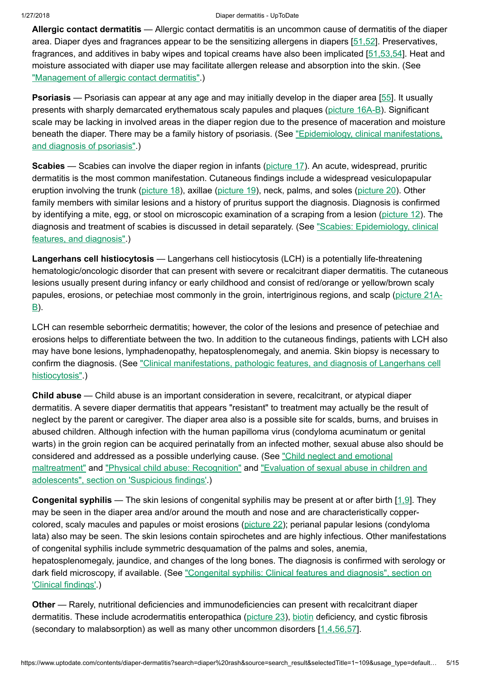Allergic contact dermatitis — Allergic contact dermatitis is an uncommon cause of dermatitis of the diaper area. Diaper dyes and fragrances appear to be the sensitizing allergens in diapers [\[51,52](https://www.uptodate.com/contents/diaper-dermatitis/abstract/51,52)]. Preservatives, fragrances, and additives in baby wipes and topical creams have also been implicated [[51,53,54\]](https://www.uptodate.com/contents/diaper-dermatitis/abstract/51,53,54). Heat and moisture associated with diaper use may facilitate allergen release and absorption into the skin. (See ["Management](https://www.uptodate.com/contents/management-of-allergic-contact-dermatitis?source=see_link) of allergic contact dermatitis".)

**Psoriasis** — Psoriasis can appear at any age and may initially develop in the diaper area [[55\]](https://www.uptodate.com/contents/diaper-dermatitis/abstract/55). It usually presents with sharply demarcated erythematous scaly papules and plaques [\(picture](https://www.uptodate.com/contents/image?imageKey=DERM%2F74892%7EDERM%2F95639&topicKey=DERM%2F5795&search=diaper+rash&rank=1%7E109&source=see_link) 16A-B). Significant scale may be lacking in involved areas in the diaper region due to the presence of maceration and moisture beneath the diaper. There may be a family history of psoriasis. (See "Epidemiology, [clinical manifestations,](https://www.uptodate.com/contents/epidemiology-clinical-manifestations-and-diagnosis-of-psoriasis?source=see_link) and diagnosis of psoriasis".)

Scabies — Scabies can involve the diaper region in infants ([picture](https://www.uptodate.com/contents/image?imageKey=DERM%2F101600&topicKey=DERM%2F5795&search=diaper+rash&rank=1%7E109&source=see_link) 17). An acute, widespread, pruritic dermatitis is the most common manifestation. Cutaneous findings include a widespread vesiculopapular eruption involving the trunk [\(picture](https://www.uptodate.com/contents/image?imageKey=PC%2F52588&topicKey=DERM%2F5795&search=diaper+rash&rank=1%7E109&source=see_link) 18), axillae ([picture](https://www.uptodate.com/contents/image?imageKey=DERM%2F63974&topicKey=DERM%2F5795&search=diaper+rash&rank=1%7E109&source=see_link) 19), neck, palms, and soles [\(picture](https://www.uptodate.com/contents/image?imageKey=DERM%2F76789&topicKey=DERM%2F5795&search=diaper+rash&rank=1%7E109&source=see_link) 20). Other family members with similar lesions and a history of pruritus support the diagnosis. Diagnosis is confirmed by identifying a mite, egg, or stool on microscopic examination of a scraping from a lesion [\(picture](https://www.uptodate.com/contents/image?imageKey=PC%2F79567&topicKey=DERM%2F5795&search=diaper+rash&rank=1%7E109&source=see_link) 12). The diagnosis and treatment of scabies is discussed in [detail separately.](https://www.uptodate.com/contents/scabies-epidemiology-clinical-features-and-diagnosis?source=see_link) (See "Scabies: Epidemiology, clinical features, and diagnosis".)

Langerhans cell histiocytosis — Langerhans cell histiocytosis (LCH) is a potentially life-threatening hematologic/oncologic disorder that can present with severe or recalcitrant diaper dermatitis. The cutaneous lesions usually present during infancy or early childhood and consist of red/orange or yellow/brown scaly papules, erosions, or petechiae most commonly in the groin, [intertriginous](https://www.uptodate.com/contents/image?imageKey=DERM%2F57722%7EDERM%2F69504&topicKey=DERM%2F5795&search=diaper+rash&rank=1%7E109&source=see_link) regions, and scalp (picture 21A-B).

LCH can resemble seborrheic dermatitis; however, the color of the lesions and presence of petechiae and erosions helps to differentiate between the two. In addition to the cutaneous findings, patients with LCH also may have bone lesions, lymphadenopathy, hepatosplenomegaly, and anemia. Skin biopsy is necessary to confirm the diagnosis. (See ["Clinical manifestations,](https://www.uptodate.com/contents/clinical-manifestations-pathologic-features-and-diagnosis-of-langerhans-cell-histiocytosis?source=see_link) pathologic features, and diagnosis of Langerhans cell histiocytosis".)

Child abuse — Child abuse is an important consideration in severe, recalcitrant, or atypical diaper dermatitis. A severe diaper dermatitis that appears "resistant" to treatment may actually be the result of neglect by the parent or caregiver. The diaper area also is a possible site for scalds, burns, and bruises in abused children. Although infection with the human papilloma virus (condyloma acuminatum or genital warts) in the groin region can be acquired perinatally from an infected mother, sexual abuse also should be considered and addressed as a possible underlying cause. (See "Child neglect and emotional maltreatment" and ["Physical child](https://www.uptodate.com/contents/child-neglect-and-emotional-maltreatment?source=see_link) abuse: Recognition" and "Evaluation of sexual abuse in children and adolescents", section on 'Suspicious findings'.)

Congenital syphilis — The skin lesions of congenital syphilis may be present at or after birth [[1,9\]](https://www.uptodate.com/contents/diaper-dermatitis/abstract/1,9). They may be seen in the diaper area and/or around the mouth and nose and are characteristically coppercolored, scaly macules and papules or moist erosions ([picture](https://www.uptodate.com/contents/image?imageKey=DERM%2F101528&topicKey=DERM%2F5795&search=diaper+rash&rank=1%7E109&source=see_link) 22); perianal papular lesions (condyloma lata) also may be seen. The skin lesions contain spirochetes and are highly infectious. Other manifestations of congenital syphilis include symmetric desquamation of the palms and soles, anemia, hepatosplenomegaly, jaundice, and changes of the long bones. The diagnosis is confirmed with serology or dark field microscopy, if available. (See ["Congenital syphilis:](https://www.uptodate.com/contents/congenital-syphilis-clinical-features-and-diagnosis?sectionName=Clinical+findings&anchor=H114346591&source=see_link#H114346591) Clinical features and diagnosis", section on 'Clinical findings'.)

Other — Rarely, nutritional deficiencies and immunodeficiencies can present with recalcitrant diaper dermatitis. These include acrodermatitis enteropathica ([picture](https://www.uptodate.com/contents/image?imageKey=PEDS%2F71329&topicKey=DERM%2F5795&search=diaper+rash&rank=1%7E109&source=see_link) 23), [biotin](https://www.uptodate.com/contents/biotin-vitamin-h-pediatric-drug-information?source=see_link) deficiency, and cystic fibrosis (secondary to malabsorption) as well as many other uncommon disorders  $[1,4,56,57]$  $[1,4,56,57]$ .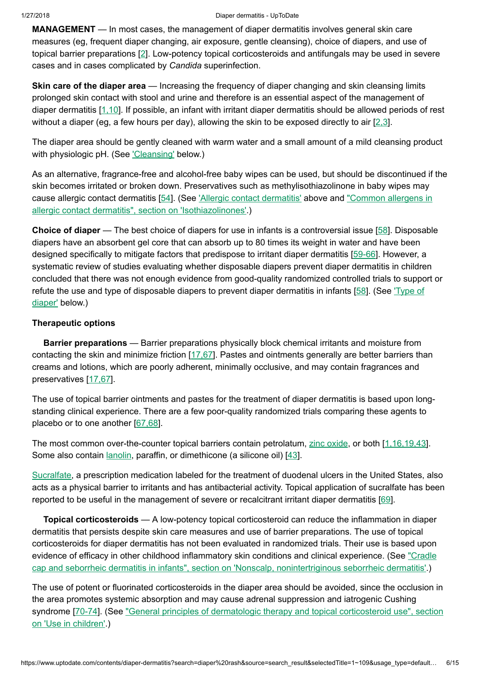MANAGEMENT — In most cases, the management of diaper dermatitis involves general skin care measures (eg, frequent diaper changing, air exposure, gentle cleansing), choice of diapers, and use of topical barrier preparations [[2\]](https://www.uptodate.com/contents/diaper-dermatitis/abstract/2). Low-potency topical corticosteroids and antifungals may be used in severe cases and in cases complicated by Candida superinfection.

Skin care of the diaper area — Increasing the frequency of diaper changing and skin cleansing limits prolonged skin contact with stool and urine and therefore is an essential aspect of the management of diaper dermatitis [[1,10\]](https://www.uptodate.com/contents/diaper-dermatitis/abstract/1,10). If possible, an infant with irritant diaper dermatitis should be allowed periods of rest without a diaper (eg, a few hours per day), allowing the skin to be exposed directly to air  $[2,3]$  $[2,3]$ .

The diaper area should be gently cleaned with warm water and a small amount of a mild cleansing product with physiologic pH. (See *['Cleansing'](https://www.uptodate.com/contents/diaper-dermatitis?search=diaper%20rash&source=search_result&selectedTitle=1~109&usage_type=default&display_rank=1#H59219095)* below.)

As an alternative, fragrance-free and alcohol-free baby wipes can be used, but should be discontinued if the skin becomes irritated or broken down. Preservatives such as methylisothiazolinone in baby wipes may cause allergic contact dermatitis [\[54](https://www.uptodate.com/contents/diaper-dermatitis/abstract/54)]. (See 'Allergic contact [dermatitis'](https://www.uptodate.com/contents/diaper-dermatitis?search=diaper%20rash&source=search_result&selectedTitle=1~109&usage_type=default&display_rank=1#H8226289) above and "Common allergens in allergic contact dermatitis", section on ['Isothiazolinones'.\)](https://www.uptodate.com/contents/common-allergens-in-allergic-contact-dermatitis?sectionName=Isothiazolinones&anchor=H519382924&source=see_link#H519382924)

Choice of diaper — The best choice of diapers for use in infants is a controversial issue [[58\]](https://www.uptodate.com/contents/diaper-dermatitis/abstract/58). Disposable diapers have an absorbent gel core that can absorb up to 80 times its weight in water and have been designed specifically to mitigate factors that predispose to irritant diaper dermatitis [[59-66\]](https://www.uptodate.com/contents/diaper-dermatitis/abstract/59-66). However, a systematic review of studies evaluating whether disposable diapers prevent diaper dermatitis in children concluded that there was not enough evidence from good-quality randomized controlled trials to support or refute the use and type of [disposable](https://www.uptodate.com/contents/diaper-dermatitis?search=diaper%20rash&source=search_result&selectedTitle=1~109&usage_type=default&display_rank=1#H59218889) diapers to prevent diaper dermatitis in infants [[58\]](https://www.uptodate.com/contents/diaper-dermatitis/abstract/58). (See 'Type of diaper' below.)

## Therapeutic options

Barrier preparations — Barrier preparations physically block chemical irritants and moisture from contacting the skin and minimize friction  $[17,67]$  $[17,67]$ . Pastes and ointments generally are better barriers than creams and lotions, which are poorly adherent, minimally occlusive, and may contain fragrances and preservatives [\[17,67](https://www.uptodate.com/contents/diaper-dermatitis/abstract/17,67)].

The use of topical barrier ointments and pastes for the treatment of diaper dermatitis is based upon longstanding clinical experience. There are a few poor-quality randomized trials comparing these agents to placebo or to one another [[67,68\]](https://www.uptodate.com/contents/diaper-dermatitis/abstract/67,68).

The most common over-the-counter topical barriers contain petrolatum, zinc [oxide](https://www.uptodate.com/contents/zinc-oxide-drug-information?source=see_link), or both [[1,16,19,43](https://www.uptodate.com/contents/diaper-dermatitis/abstract/1,16,19,43)]. Some also contain [lanolin,](https://www.uptodate.com/contents/lanolin-drug-information?source=see_link) paraffin, or dimethicone (a silicone oil) [[43\]](https://www.uptodate.com/contents/diaper-dermatitis/abstract/43).

[Sucralfate](https://www.uptodate.com/contents/sucralfate-drug-information?source=see_link), a prescription medication labeled for the treatment of duodenal ulcers in the United States, also acts as a physical barrier to irritants and has antibacterial activity. Topical application of sucralfate has been reported to be useful in the management of severe or recalcitrant irritant diaper dermatitis [\[69](https://www.uptodate.com/contents/diaper-dermatitis/abstract/69)].

Topical corticosteroids — A low-potency topical corticosteroid can reduce the inflammation in diaper dermatitis that persists despite skin care measures and use of barrier preparations. The use of topical corticosteroids for diaper dermatitis has not been evaluated in randomized trials. Their use is based upon evidence of efficacy in other childhood inflammatory skin conditions and [clinical experience.](https://www.uptodate.com/contents/cradle-cap-and-seborrheic-dermatitis-in-infants?sectionName=Nonscalp%2C+nonintertriginous+seborrheic+dermatitis&anchor=H710058559&source=see_link#H710058559) (See "Cradle cap and seborrheic dermatitis in infants", section on 'Nonscalp, nonintertriginous seborrheic dermatitis'.)

The use of potent or fluorinated corticosteroids in the diaper area should be avoided, since the occlusion in the area promotes systemic absorption and may cause adrenal suppression and iatrogenic Cushing syndrome [[70-74\]](https://www.uptodate.com/contents/diaper-dermatitis/abstract/70-74). (See "General principles of dermatologic therapy and [topical corticosteroid](https://www.uptodate.com/contents/general-principles-of-dermatologic-therapy-and-topical-corticosteroid-use?sectionName=Use+in+children&anchor=H14&source=see_link#H14) use", section on 'Use in children'.)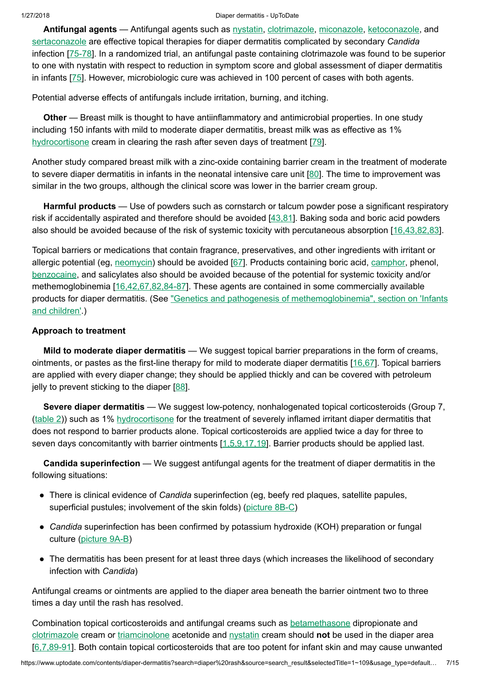Antifungal agents — Antifungal agents such as [nystatin,](https://www.uptodate.com/contents/nystatin-drug-information?source=see_link) [clotrimazole](https://www.uptodate.com/contents/clotrimazole-drug-information?source=see_link), [miconazole](https://www.uptodate.com/contents/miconazole-drug-information?source=see_link), [ketoconazole,](https://www.uptodate.com/contents/ketoconazole-drug-information?source=see_link) and [sertaconazole](https://www.uptodate.com/contents/sertaconazole-drug-information?source=see_link) are effective topical therapies for diaper dermatitis complicated by secondary Candida infection [\[75-78\]](https://www.uptodate.com/contents/diaper-dermatitis/abstract/75-78). In a randomized trial, an antifungal paste containing clotrimazole was found to be superior to one with nystatin with respect to reduction in symptom score and global assessment of diaper dermatitis in infants [\[75](https://www.uptodate.com/contents/diaper-dermatitis/abstract/75)]. However, microbiologic cure was achieved in 100 percent of cases with both agents.

Potential adverse effects of antifungals include irritation, burning, and itching.

Other — Breast milk is thought to have antiinflammatory and antimicrobial properties. In one study including 150 infants with mild to moderate diaper dermatitis, breast milk was as effective as 1% [hydrocortisone](https://www.uptodate.com/contents/hydrocortisone-drug-information?source=see_link) cream in clearing the rash after seven days of treatment [[79\]](https://www.uptodate.com/contents/diaper-dermatitis/abstract/79).

Another study compared breast milk with a zinc-oxide containing barrier cream in the treatment of moderate to severe diaper dermatitis in infants in the neonatal intensive care unit [\[80](https://www.uptodate.com/contents/diaper-dermatitis/abstract/80)]. The time to improvement was similar in the two groups, although the clinical score was lower in the barrier cream group.

Harmful products — Use of powders such as cornstarch or talcum powder pose a significant respiratory risk if accidentally aspirated and therefore should be avoided  $[43,81]$  $[43,81]$ . Baking soda and boric acid powders also should be avoided because of the risk of systemic toxicity with percutaneous absorption [\[16,43,82,83](https://www.uptodate.com/contents/diaper-dermatitis/abstract/16,43,82,83)].

Topical barriers or medications that contain fragrance, preservatives, and other ingredients with irritant or allergic potential (eg, [neomycin\)](https://www.uptodate.com/contents/neomycin-drug-information?source=see_link) should be avoided [\[67](https://www.uptodate.com/contents/diaper-dermatitis/abstract/67)]. Products containing boric acid, [camphor](https://www.uptodate.com/contents/camphor-drug-information?source=see_link), phenol, [benzocaine](https://www.uptodate.com/contents/benzocaine-drug-information?source=see_link), and salicylates also should be avoided because of the potential for systemic toxicity and/or methemoglobinemia [\[16,42,67,82,84-87\]](https://www.uptodate.com/contents/diaper-dermatitis/abstract/16,42,67,82,84-87). These agents are contained in some commercially available products for diaper dermatitis. (See "Genetics and pathogenesis of [methemoglobinemia",](https://www.uptodate.com/contents/genetics-and-pathogenesis-of-methemoglobinemia?sectionName=Infants+and+children&anchor=H11590848&source=see_link#H11590848) section on 'Infants and children'.)

## Approach to treatment

Mild to moderate diaper dermatitis — We suggest topical barrier preparations in the form of creams, ointments, or pastes as the first-line therapy for mild to moderate diaper dermatitis [\[16,67](https://www.uptodate.com/contents/diaper-dermatitis/abstract/16,67)]. Topical barriers are applied with every diaper change; they should be applied thickly and can be covered with petroleum jelly to prevent sticking to the diaper [\[88](https://www.uptodate.com/contents/diaper-dermatitis/abstract/88)].

Severe diaper dermatitis — We suggest low-potency, nonhalogenated topical corticosteroids (Group 7, [\(table](https://www.uptodate.com/contents/image?imageKey=DERM%2F62402&topicKey=DERM%2F5795&search=diaper+rash&rank=1%7E109&source=see_link) 2)) such as 1% [hydrocortisone](https://www.uptodate.com/contents/hydrocortisone-drug-information?source=see_link) for the treatment of severely inflamed irritant diaper dermatitis that does not respond to barrier products alone. Topical corticosteroids are applied twice a day for three to seven days concomitantly with barrier ointments [[1,5,9,17,19\]](https://www.uptodate.com/contents/diaper-dermatitis/abstract/1,5,9,17,19). Barrier products should be applied last.

Candida superinfection — We suggest antifungal agents for the treatment of diaper dermatitis in the following situations:

- There is clinical evidence of Candida superinfection (eg, beefy red plaques, satellite papules, superficial pustules; involvement of the skin folds) [\(picture](https://www.uptodate.com/contents/image?imageKey=PEDS%2F59361%7EPEDS%2F72165&topicKey=DERM%2F5795&search=diaper+rash&rank=1%7E109&source=see_link) 8B-C)
- Candida superinfection has been confirmed by potassium hydroxide (KOH) preparation or fungal culture [\(picture](https://www.uptodate.com/contents/image?imageKey=PC%2F79879%7EPC%2F50344&topicKey=DERM%2F5795&search=diaper+rash&rank=1%7E109&source=see_link) 9A-B)
- The dermatitis has been present for at least three days (which increases the likelihood of secondary infection with Candida)

Antifungal creams or ointments are applied to the diaper area beneath the barrier ointment two to three times a day until the rash has resolved.

Combination topical corticosteroids and antifungal creams such as [betamethasone](https://www.uptodate.com/contents/betamethasone-drug-information?source=see_link) dipropionate and [clotrimazole](https://www.uptodate.com/contents/clotrimazole-drug-information?source=see_link) cream or [triamcinolone](https://www.uptodate.com/contents/triamcinolone-drug-information?source=see_link) acetonide and [nystatin](https://www.uptodate.com/contents/nystatin-drug-information?source=see_link) cream should not be used in the diaper area [[6,7,89-91](https://www.uptodate.com/contents/diaper-dermatitis/abstract/6,7,89-91)]. Both contain topical corticosteroids that are too potent for infant skin and may cause unwanted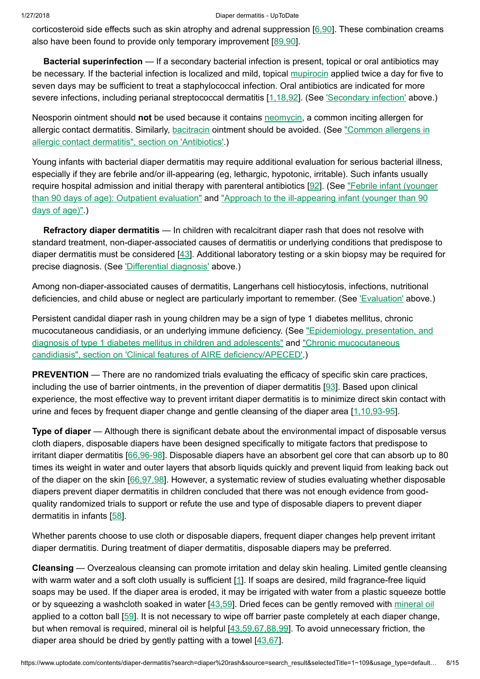corticosteroid side effects such as skin atrophy and adrenal suppression [[6,90\]](https://www.uptodate.com/contents/diaper-dermatitis/abstract/6,90). These combination creams also have been found to provide only temporary improvement [[89,90\]](https://www.uptodate.com/contents/diaper-dermatitis/abstract/89,90).

Bacterial superinfection — If a secondary bacterial infection is present, topical or oral antibiotics may be necessary. If the bacterial infection is localized and mild, topical [mupirocin](https://www.uptodate.com/contents/mupirocin-drug-information?source=see_link) applied twice a day for five to seven days may be sufficient to treat a staphylococcal infection. Oral antibiotics are indicated for more severe infections, including perianal streptococcal dermatitis [[1,18,92\]](https://www.uptodate.com/contents/diaper-dermatitis/abstract/1,18,92). (See ['Secondary](https://www.uptodate.com/contents/diaper-dermatitis?search=diaper%20rash&source=search_result&selectedTitle=1~109&usage_type=default&display_rank=1#H33452433) infection' above.)

Neosporin ointment should not be used because it contains [neomycin](https://www.uptodate.com/contents/neomycin-drug-information?source=see_link), a common inciting allergen for allergic contact dermatitis. Similarly, [bacitracin](https://www.uptodate.com/contents/bacitracin-drug-information?source=see_link) ointment should be avoided. (See "Common allergens in allergic contact dermatitis", section on ['Antibiotics'.\)](https://www.uptodate.com/contents/common-allergens-in-allergic-contact-dermatitis?sectionName=Antibiotics&anchor=H9079777&source=see_link#H9079777)

Young infants with bacterial diaper dermatitis may require additional evaluation for serious bacterial illness, especially if they are febrile and/or ill-appearing (eg, lethargic, hypotonic, irritable). Such infants usually require hospital admission and initial therapy with [parenteral antibiotics](https://www.uptodate.com/contents/febrile-infant-younger-than-90-days-of-age-outpatient-evaluation?source=see_link) [[92\]](https://www.uptodate.com/contents/diaper-dermatitis/abstract/92). (See "Febrile infant (younger than 90 days of age): Outpatient evaluation" and "Approach to the [ill-appearing](https://www.uptodate.com/contents/approach-to-the-ill-appearing-infant-younger-than-90-days-of-age?source=see_link) infant (younger than 90 days of age)".)

Refractory diaper dermatitis — In children with recalcitrant diaper rash that does not resolve with standard treatment, non-diaper-associated causes of dermatitis or underlying conditions that predispose to diaper dermatitis must be considered [[43\]](https://www.uptodate.com/contents/diaper-dermatitis/abstract/43). Additional laboratory testing or a skin biopsy may be required for precise diagnosis. (See ['Differential diagnosis'](https://www.uptodate.com/contents/diaper-dermatitis?search=diaper%20rash&source=search_result&selectedTitle=1~109&usage_type=default&display_rank=1#H59215440) above.)

Among non-diaper-associated causes of dermatitis, Langerhans cell histiocytosis, infections, nutritional deficiencies, and child abuse or neglect are particularly important to remember. (See ['Evaluation'](https://www.uptodate.com/contents/diaper-dermatitis?search=diaper%20rash&source=search_result&selectedTitle=1~109&usage_type=default&display_rank=1#H22) above.)

Persistent candidal diaper rash in young children may be a sign of type 1 diabetes mellitus, chronic mucocutaneous candidiasis, or an underlying immune deficiency. (See "Epidemiology, presentation, and diagnosis of type 1 diabetes mellitus in children and adolescents" and "Chronic [mucocutaneous](https://www.uptodate.com/contents/epidemiology-presentation-and-diagnosis-of-type-1-diabetes-mellitus-in-children-and-adolescents?source=see_link) candidiasis", section on 'Clinical features of AIRE [deficiency/APECED'.\)](https://www.uptodate.com/contents/chronic-mucocutaneous-candidiasis?sectionName=Clinical+features+of+AIRE+deficiency%2FAPECED&anchor=H571998&source=see_link#H571998)

PREVENTION — There are no randomized trials evaluating the efficacy of specific skin care practices, including the use of barrier ointments, in the prevention of diaper dermatitis [\[93](https://www.uptodate.com/contents/diaper-dermatitis/abstract/93)]. Based upon clinical experience, the most effective way to prevent irritant diaper dermatitis is to minimize direct skin contact with urine and feces by frequent diaper change and gentle cleansing of the diaper area [\[1,10,93-95\]](https://www.uptodate.com/contents/diaper-dermatitis/abstract/1,10,93-95).

Type of diaper — Although there is significant debate about the environmental impact of disposable versus cloth diapers, disposable diapers have been designed specifically to mitigate factors that predispose to irritant diaper dermatitis [[66,96-98\]](https://www.uptodate.com/contents/diaper-dermatitis/abstract/66,96-98). Disposable diapers have an absorbent gel core that can absorb up to 80 times its weight in water and outer layers that absorb liquids quickly and prevent liquid from leaking back out of the diaper on the skin [\[66,97,98](https://www.uptodate.com/contents/diaper-dermatitis/abstract/66,97,98)]. However, a systematic review of studies evaluating whether disposable diapers prevent diaper dermatitis in children concluded that there was not enough evidence from goodquality randomized trials to support or refute the use and type of disposable diapers to prevent diaper dermatitis in infants [[58\]](https://www.uptodate.com/contents/diaper-dermatitis/abstract/58).

Whether parents choose to use cloth or disposable diapers, frequent diaper changes help prevent irritant diaper dermatitis. During treatment of diaper dermatitis, disposable diapers may be preferred.

Cleansing — Overzealous cleansing can promote irritation and delay skin healing. Limited gentle cleansing with warm water and a soft cloth usually is sufficient [\[1](https://www.uptodate.com/contents/diaper-dermatitis/abstract/1)]. If soaps are desired, mild fragrance-free liquid soaps may be used. If the diaper area is eroded, it may be irrigated with water from a plastic squeeze bottle or by squeezing a washcloth soaked in water [[43,59\]](https://www.uptodate.com/contents/diaper-dermatitis/abstract/43,59). Dried feces can be gently removed with [mineral oil](https://www.uptodate.com/contents/mineral-oil-drug-information?source=see_link) applied to a cotton ball [[59\]](https://www.uptodate.com/contents/diaper-dermatitis/abstract/59). It is not necessary to wipe off barrier paste completely at each diaper change, but when removal is required, mineral oil is helpful [[43,59,67,88,99\]](https://www.uptodate.com/contents/diaper-dermatitis/abstract/43,59,67,88,99). To avoid unnecessary friction, the diaper area should be dried by gently patting with a towel [[43,67\]](https://www.uptodate.com/contents/diaper-dermatitis/abstract/43,67).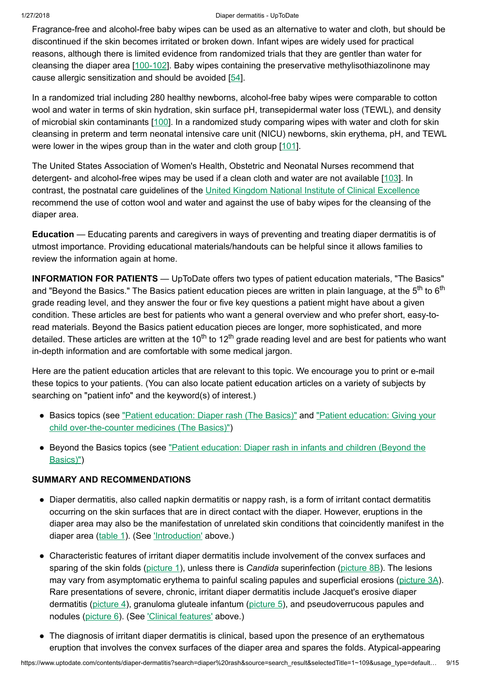Fragrance-free and alcohol-free baby wipes can be used as an alternative to water and cloth, but should be discontinued if the skin becomes irritated or broken down. Infant wipes are widely used for practical reasons, although there is limited evidence from randomized trials that they are gentler than water for cleansing the diaper area [\[100-102\]](https://www.uptodate.com/contents/diaper-dermatitis/abstract/100-102). Baby wipes containing the preservative methylisothiazolinone may cause allergic sensitization and should be avoided [\[54](https://www.uptodate.com/contents/diaper-dermatitis/abstract/54)].

In a randomized trial including 280 healthy newborns, alcohol-free baby wipes were comparable to cotton wool and water in terms of skin hydration, skin surface pH, transepidermal water loss (TEWL), and density of microbial skin contaminants [\[100](https://www.uptodate.com/contents/diaper-dermatitis/abstract/100)]. In a randomized study comparing wipes with water and cloth for skin cleansing in preterm and term neonatal intensive care unit (NICU) newborns, skin erythema, pH, and TEWL were lower in the wipes group than in the water and cloth group [\[101](https://www.uptodate.com/contents/diaper-dermatitis/abstract/101)].

The United States Association of Women's Health, Obstetric and Neonatal Nurses recommend that detergent- and alcohol-free wipes may be used if a clean cloth and water are not available [[103\]](https://www.uptodate.com/contents/diaper-dermatitis/abstract/103). In contrast, the postnatal care guidelines of the United Kingdom National Institute of [Clinical Excellence](https://www.uptodate.com/external-redirect.do?target_url=http%3A%2F%2Fwww.nice.org.uk%2Fguidance%2Fcg37%2Fresources%2Fpostnatal-care-up-to-8-weeks-after-birth-975391596997&TOPIC_ID=5795) recommend the use of cotton wool and water and against the use of baby wipes for the cleansing of the diaper area.

Education — Educating parents and caregivers in ways of preventing and treating diaper dermatitis is of utmost importance. Providing educational materials/handouts can be helpful since it allows families to review the information again at home.

INFORMATION FOR PATIENTS — UpToDate offers two types of patient education materials, "The Basics" and "Beyond the Basics." The Basics patient education pieces are written in plain language, at the 5<sup>th</sup> to 6<sup>th</sup> grade reading level, and they answer the four or five key questions a patient might have about a given condition. These articles are best for patients who want a general overview and who prefer short, easy-toread materials. Beyond the Basics patient education pieces are longer, more sophisticated, and more detailed. These articles are written at the 10<sup>th</sup> to 12<sup>th</sup> grade reading level and are best for patients who want in-depth information and are comfortable with some medical jargon.

Here are the patient education articles that are relevant to this topic. We encourage you to print or e-mail these topics to your patients. (You can also locate patient education articles on a variety of subjects by searching on "patient info" and the keyword(s) of interest.)

- Basics topics (see "Patient [education:](https://www.uptodate.com/contents/diaper-rash-the-basics?source=see_link) Diaper rash (The Basics)" and "Patient education: Giving your child [over-the-counter](https://www.uptodate.com/contents/giving-your-child-over-the-counter-medicines-the-basics?source=see_link) medicines (The Basics)")
- Beyond the Basics topics (see "Patient [education:](https://www.uptodate.com/contents/diaper-rash-in-infants-and-children-beyond-the-basics?source=see_link) Diaper rash in infants and children (Beyond the Basics)")

## SUMMARY AND RECOMMENDATIONS

- Diaper dermatitis, also called napkin dermatitis or nappy rash, is a form of irritant contact dermatitis occurring on the skin surfaces that are in direct contact with the diaper. However, eruptions in the diaper area may also be the manifestation of unrelated skin conditions that coincidently manifest in the diaper area ([table](https://www.uptodate.com/contents/image?imageKey=PEDS%2F81540&topicKey=DERM%2F5795&search=diaper+rash&rank=1%7E109&source=see_link) 1). (See ['Introduction'](https://www.uptodate.com/contents/diaper-dermatitis?search=diaper%20rash&source=search_result&selectedTitle=1~109&usage_type=default&display_rank=1#H1) above.)
- Characteristic features of irritant diaper dermatitis include involvement of the convex surfaces and sparing of the skin folds [\(picture](https://www.uptodate.com/contents/image?imageKey=PEDS%2F59361&topicKey=DERM%2F5795&search=diaper+rash&rank=1%7E109&source=see_link) 1), unless there is *Candida* superinfection (picture 8B). The lesions may vary from asymptomatic erythema to painful scaling papules and superficial erosions ([picture](https://www.uptodate.com/contents/image?imageKey=DERM%2F101505&topicKey=DERM%2F5795&search=diaper+rash&rank=1%7E109&source=see_link) 3A). Rare presentations of severe, chronic, irritant diaper dermatitis include Jacquet's erosive diaper dermatitis ([picture](https://www.uptodate.com/contents/image?imageKey=DERM%2F90045&topicKey=DERM%2F5795&search=diaper+rash&rank=1%7E109&source=see_link) 4), granuloma gluteale infantum (picture 5), and pseudoverrucous papules and nodules ([picture](https://www.uptodate.com/contents/image?imageKey=DERM%2F101508&topicKey=DERM%2F5795&search=diaper+rash&rank=1%7E109&source=see_link) 6). (See ['Clinical features'](https://www.uptodate.com/contents/diaper-dermatitis?search=diaper%20rash&source=search_result&selectedTitle=1~109&usage_type=default&display_rank=1#H21) above.)
- The diagnosis of irritant diaper dermatitis is clinical, based upon the presence of an erythematous eruption that involves the convex surfaces of the diaper area and spares the folds. Atypical-appearing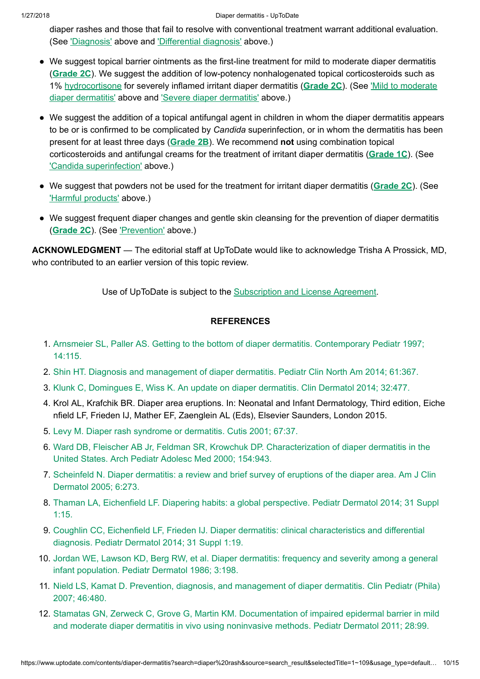diaper rashes and those that fail to resolve with conventional treatment warrant additional evaluation. (See ['Diagnosis'](https://www.uptodate.com/contents/diaper-dermatitis?search=diaper%20rash&source=search_result&selectedTitle=1~109&usage_type=default&display_rank=1#H59217136) above and ['Differential diagnosis'](https://www.uptodate.com/contents/diaper-dermatitis?search=diaper%20rash&source=search_result&selectedTitle=1~109&usage_type=default&display_rank=1#H59215440) above.)

- We suggest topical barrier ointments as the first-line treatment for mild to moderate diaper dermatitis ([Grade](https://www.uptodate.com/contents/grade/6?title=Grade%202C&topicKey=DERM/5795) 2C). We suggest the addition of low-potency nonhalogenated topical corticosteroids such as 1% [hydrocortisone](https://www.uptodate.com/contents/diaper-dermatitis?search=diaper%20rash&source=search_result&selectedTitle=1~109&usage_type=default&display_rank=1#H59212945) for severely inflamed irritant diaper dermatitis ([Grade](https://www.uptodate.com/contents/grade/6?title=Grade%202C&topicKey=DERM/5795) 2C). (See 'Mild to moderate diaper [dermatitis'](https://www.uptodate.com/contents/diaper-dermatitis?search=diaper%20rash&source=search_result&selectedTitle=1~109&usage_type=default&display_rank=1#H429937435) above and 'Severe diaper dermatitis' above.)
- We suggest the addition of a topical antifungal agent in children in whom the diaper dermatitis appears to be or is confirmed to be complicated by Candida superinfection, or in whom the dermatitis has been present for at least three days ([Grade](https://www.uptodate.com/contents/grade/5?title=Grade%202B&topicKey=DERM/5795) 2B). We recommend not using combination topical corticosteroids and antifungal creams for the treatment of irritant diaper dermatitis ([Grade](https://www.uptodate.com/contents/grade/3?title=Grade%201C&topicKey=DERM/5795) 1C). (See 'Candida [superinfection'](https://www.uptodate.com/contents/diaper-dermatitis?search=diaper%20rash&source=search_result&selectedTitle=1~109&usage_type=default&display_rank=1#H59216033) above.)
- We suggest that powders not be used for the treatment for irritant diaper dermatitis ([Grade](https://www.uptodate.com/contents/grade/6?title=Grade%202C&topicKey=DERM/5795) 2C). (See ['Harmful products'](https://www.uptodate.com/contents/diaper-dermatitis?search=diaper%20rash&source=search_result&selectedTitle=1~109&usage_type=default&display_rank=1#H59212872) above.)
- We suggest frequent diaper changes and gentle skin cleansing for the prevention of diaper dermatitis ([Grade](https://www.uptodate.com/contents/grade/6?title=Grade%202C&topicKey=DERM/5795) 2C). (See ['Prevention'](https://www.uptodate.com/contents/diaper-dermatitis?search=diaper%20rash&source=search_result&selectedTitle=1~109&usage_type=default&display_rank=1#H59218790) above.)

ACKNOWLEDGMENT — The editorial staff at UpToDate would like to acknowledge Trisha A Prossick, MD, who contributed to an earlier version of this topic review.

Use of UpToDate is subject to the [Subscription](https://www.uptodate.com/legal/license) and License Agreement.

# REFERENCES

- 1. Arnsmeier SL, Paller AS. Getting to the bottom of diaper dermatitis. [Contemporary](https://www.uptodate.com/contents/diaper-dermatitis/abstract/1) Pediatr 1997; 14:115.
- 2. Shin HT. Diagnosis and [management](https://www.uptodate.com/contents/diaper-dermatitis/abstract/2) of diaper dermatitis. Pediatr Clin North Am 2014; 61:367.
- 3. Klunk C, Domingues E, Wiss K. An update on diaper dermatitis. Clin [Dermatol 2014;](https://www.uptodate.com/contents/diaper-dermatitis/abstract/3) 32:477.
- 4. Krol AL, Krafchik BR. Diaper area eruptions. In: Neonatal and Infant Dermatology, Third edition, Eiche nfield LF, Frieden IJ, Mather EF, Zaenglein AL (Eds), Elsevier Saunders, London 2015.
- 5. Levy M. Diaper rash syndrome or [dermatitis.](https://www.uptodate.com/contents/diaper-dermatitis/abstract/5) Cutis 2001; 67:37.
- 6. Ward DB, Fleischer AB Jr, Feldman SR, Krowchuk DP. [Characterization](https://www.uptodate.com/contents/diaper-dermatitis/abstract/6) of diaper dermatitis in the United States. Arch Pediatr Adolesc Med 2000; 154:943.
- 7. Scheinfeld N. Diaper dermatitis: a review and brief survey of eruptions of the diaper area. Am J Clin [Dermatol 2005;](https://www.uptodate.com/contents/diaper-dermatitis/abstract/7) 6:273.
- 8. Thaman LA, Eichenfield LF. Diapering habits: a [global perspective.](https://www.uptodate.com/contents/diaper-dermatitis/abstract/8) Pediatr Dermatol 2014; 31 Suppl 1:15.
- 9. Coughlin CC, Eichenfield LF, Frieden IJ. Diaper dermatitis: [clinical characteristics](https://www.uptodate.com/contents/diaper-dermatitis/abstract/9) and differential diagnosis. Pediatr Dermatol 2014; 31 Suppl 1:19.
- 10. Jordan WE, Lawson KD, Berg RW, et al. Diaper dermatitis: frequency and severity among a general infant population. Pediatr [Dermatol 1986;](https://www.uptodate.com/contents/diaper-dermatitis/abstract/10) 3:198.
- 11. Nield LS, Kamat D. Prevention, diagnosis, and [management](https://www.uptodate.com/contents/diaper-dermatitis/abstract/11) of diaper dermatitis. Clin Pediatr (Phila) 2007; 46:480.
- 12. Stamatas GN, Zerweck C, Grove G, Martin KM. Documentation of impaired [epidermal barrier](https://www.uptodate.com/contents/diaper-dermatitis/abstract/12) in mild and moderate diaper dermatitis in vivo using noninvasive methods. Pediatr Dermatol 2011; 28:99.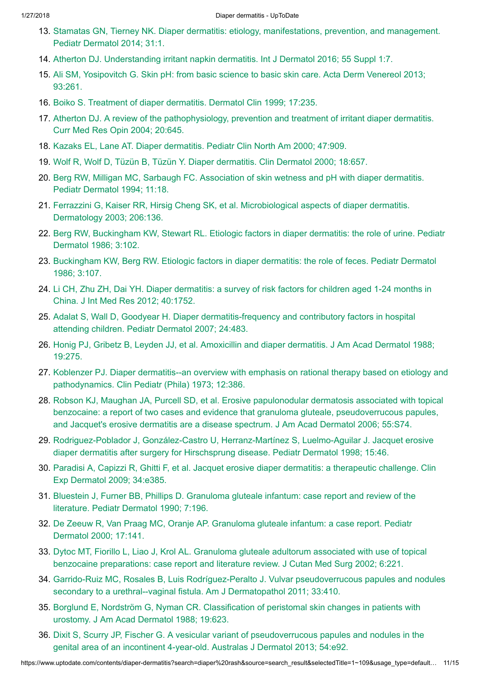- 13. Stamatas GN, Tierney NK. Diaper dermatitis: etiology, manifestations, prevention, and management. Pediatr [Dermatol 2014;](https://www.uptodate.com/contents/diaper-dermatitis/abstract/13) 31:1.
- 14. Atherton DJ. Understanding irritant napkin dermatitis. Int J [Dermatol 2016;](https://www.uptodate.com/contents/diaper-dermatitis/abstract/14) 55 Suppl 1:7.
- 15. Ali SM, Yosipovitch G. Skin pH: from basic science to basic skin care. Acta Derm [Venereol 2013;](https://www.uptodate.com/contents/diaper-dermatitis/abstract/15) 93:261.
- 16. Boiko S. Treatment of diaper dermatitis. [Dermatol Clin](https://www.uptodate.com/contents/diaper-dermatitis/abstract/16) 1999; 17:235.
- 17. Atherton DJ. A review of the [pathophysiology,](https://www.uptodate.com/contents/diaper-dermatitis/abstract/17) prevention and treatment of irritant diaper dermatitis. Curr Med Res Opin 2004; 20:645.
- 18. Kazaks EL, Lane AT. Diaper [dermatitis.](https://www.uptodate.com/contents/diaper-dermatitis/abstract/18) Pediatr Clin North Am 2000; 47:909.
- 19. Wolf R, Wolf D, Tüzün B, Tüzün Y. Diaper dermatitis. Clin [Dermatol 2000;](https://www.uptodate.com/contents/diaper-dermatitis/abstract/19) 18:657.
- 20. Berg RW, Milligan MC, Sarbaugh FC. Association of skin wetness and pH with diaper dermatitis. Pediatr [Dermatol 1994;](https://www.uptodate.com/contents/diaper-dermatitis/abstract/20) 11:18.
- 21. Ferrazzini G, Kaiser RR, Hirsig Cheng SK, et al. [Microbiological aspects](https://www.uptodate.com/contents/diaper-dermatitis/abstract/21) of diaper dermatitis. Dermatology 2003; 206:136.
- 22. Berg RW, Buckingham KW, Stewart RL. Etiologic factors in diaper dermatitis: the role of urine. Pediatr [Dermatol 1986;](https://www.uptodate.com/contents/diaper-dermatitis/abstract/22) 3:102.
- 23. [Buckingham](https://www.uptodate.com/contents/diaper-dermatitis/abstract/23) KW, Berg RW. Etiologic factors in diaper dermatitis: the role of feces. Pediatr Dermatol 1986; 3:107.
- 24. Li CH, Zhu ZH, Dai YH. Diaper [dermatitis:](https://www.uptodate.com/contents/diaper-dermatitis/abstract/24) a survey of risk factors for children aged 1-24 months in China. J Int Med Res 2012; 40:1752.
- 25. Adalat S, Wall D, Goodyear H. Diaper [dermatitis-frequency](https://www.uptodate.com/contents/diaper-dermatitis/abstract/25) and contributory factors in hospital attending children. Pediatr Dermatol 2007; 24:483.
- 26. Honig PJ, Gribetz B, Leyden JJ, et al. Amoxicillin and diaper dermatitis. J Am Acad [Dermatol 1988;](https://www.uptodate.com/contents/diaper-dermatitis/abstract/26) 19:275.
- 27. Koblenzer PJ. Diaper dermatitis--an overview with emphasis on rational therapy based on etiology and [pathodynamics.](https://www.uptodate.com/contents/diaper-dermatitis/abstract/27) Clin Pediatr (Phila) 1973; 12:386.
- 28. Robson KJ, Maughan JA, Purcell SD, et al. Erosive papulonodular dermatosis associated with topical benzocaine: a report of two cases and evidence that granuloma gluteale, [pseudoverrucous](https://www.uptodate.com/contents/diaper-dermatitis/abstract/28) papules, and Jacquet's erosive dermatitis are a disease spectrum. J Am Acad Dermatol 2006; 55:S74.
- 29. [Rodriguez-Poblador](https://www.uptodate.com/contents/diaper-dermatitis/abstract/29) J, González-Castro U, Herranz-Martínez S, Luelmo-Aguilar J. Jacquet erosive diaper dermatitis after surgery for Hirschsprung disease. Pediatr Dermatol 1998; 15:46.
- 30. Paradisi A, Capizzi R, Ghitti F, et al. Jacquet erosive diaper dermatitis: a therapeutic challenge. Clin Exp [Dermatol 2009;](https://www.uptodate.com/contents/diaper-dermatitis/abstract/30) 34:e385.
- 31. Bluestein J, Furner BB, Phillips D. Granuloma gluteale infantum: case report and review of the literature. Pediatr [Dermatol 1990;](https://www.uptodate.com/contents/diaper-dermatitis/abstract/31) 7:196.
- 32. De Zeeuw R, Van Praag MC, Oranje AP. Granuloma gluteale infantum: a case report. Pediatr [Dermatol 2000;](https://www.uptodate.com/contents/diaper-dermatitis/abstract/32) 17:141.
- 33. Dytoc MT, Fiorillo L, Liao J, Krol AL. Granuloma gluteale adultorum associated with use of topical benzocaine [preparations:](https://www.uptodate.com/contents/diaper-dermatitis/abstract/33) case report and literature review. J Cutan Med Surg 2002; 6:221.
- 34. Garrido-Ruiz MC, Rosales B, Luis Rodríguez-Peralto J. Vulvar pseudoverrucous papules and nodules secondary to a [urethral--vaginal fistula.](https://www.uptodate.com/contents/diaper-dermatitis/abstract/34) Am J Dermatopathol 2011; 33:410.
- 35. Borglund E, Nordström G, Nyman CR. Classification of peristomal skin changes in patients with urostomy. J Am Acad [Dermatol 1988;](https://www.uptodate.com/contents/diaper-dermatitis/abstract/35) 19:623.
- 36. Dixit S, Scurry JP, Fischer G. A vesicular variant of [pseudoverrucous](https://www.uptodate.com/contents/diaper-dermatitis/abstract/36) papules and nodules in the genital area of an incontinent 4-year-old. Australas J Dermatol 2013; 54:e92.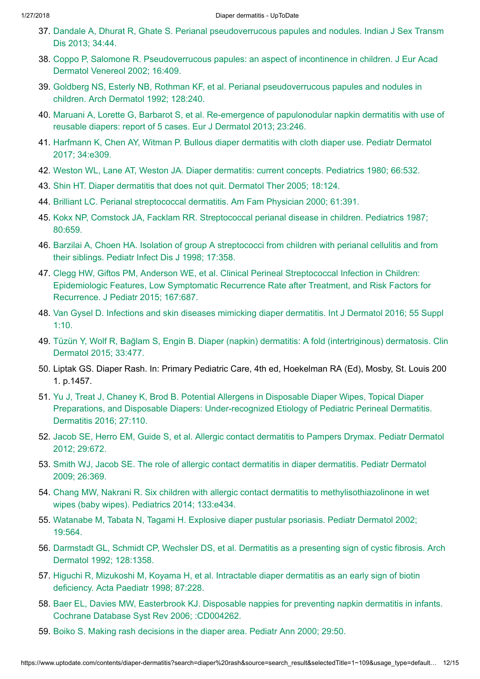- 37. Dandale A, Dhurat R, Ghate S. [Perianal pseudoverrucous](https://www.uptodate.com/contents/diaper-dermatitis/abstract/37) papules and nodules. Indian J Sex Transm Dis 2013; 34:44.
- 38. Coppo P, Salomone R. Pseudoverrucous papules: an aspect of incontinence in children. J Eur Acad [Dermatol Venereol 2002;](https://www.uptodate.com/contents/diaper-dermatitis/abstract/38) 16:409.
- 39. Goldberg NS, Esterly NB, Rothman KF, et al. [Perianal pseudoverrucous](https://www.uptodate.com/contents/diaper-dermatitis/abstract/39) papules and nodules in children. Arch Dermatol 1992; 128:240.
- 40. Maruani A, Lorette G, Barbarot S, et al. Re-emergence of papulonodular napkin dermatitis with use of reusable diapers: report of 5 cases. Eur J [Dermatol 2013;](https://www.uptodate.com/contents/diaper-dermatitis/abstract/40) 23:246.
- 41. [Harfmann](https://www.uptodate.com/contents/diaper-dermatitis/abstract/41) K, Chen AY, Witman P. Bullous diaper dermatitis with cloth diaper use. Pediatr Dermatol 2017; 34:e309.
- 42. Weston WL, Lane AT, Weston JA. Diaper [dermatitis:](https://www.uptodate.com/contents/diaper-dermatitis/abstract/42) current concepts. Pediatrics 1980; 66:532.
- 43. Shin HT. Diaper dermatitis that does not quit. [Dermatol Ther](https://www.uptodate.com/contents/diaper-dermatitis/abstract/43) 2005; 18:124.
- 44. Brilliant LC. [Perianal streptococcal dermatitis.](https://www.uptodate.com/contents/diaper-dermatitis/abstract/44) Am Fam Physician 2000; 61:391.
- 45. Kokx NP, Comstock JA, Facklam RR. [Streptococcal perianal disease](https://www.uptodate.com/contents/diaper-dermatitis/abstract/45) in children. Pediatrics 1987; 80:659.
- 46. Barzilai A, Choen HA. Isolation of group A [streptococci from](https://www.uptodate.com/contents/diaper-dermatitis/abstract/46) children with perianal cellulitis and from their siblings. Pediatr Infect Dis J 1998; 17:358.
- 47. Clegg HW, Giftos PM, Anderson WE, et al. [Clinical Perineal Streptococcal Infection](https://www.uptodate.com/contents/diaper-dermatitis/abstract/47) in Children: Epidemiologic Features, Low Symptomatic Recurrence Rate after Treatment, and Risk Factors for Recurrence. J Pediatr 2015; 167:687.
- 48. Van Gysel D. Infections and skin diseases mimicking diaper dermatitis. Int J [Dermatol 2016;](https://www.uptodate.com/contents/diaper-dermatitis/abstract/48) 55 Suppl 1:10.
- 49. Tüzün Y, Wolf R, Bağlam S, Engin B. Diaper (napkin) dermatitis: A fold (intertriginous) dermatosis. Clin [Dermatol 2015;](https://www.uptodate.com/contents/diaper-dermatitis/abstract/49) 33:477.
- 50. Liptak GS. Diaper Rash. In: Primary Pediatric Care, 4th ed, Hoekelman RA (Ed), Mosby, St. Louis 200 1. p.1457.
- 51. Yu J, Treat J, Chaney K, Brod B. Potential Allergens in Disposable Diaper Wipes, Topical Diaper Preparations, and Disposable Diapers: Under-recognized Etiology of Pediatric [Perineal Dermatitis.](https://www.uptodate.com/contents/diaper-dermatitis/abstract/51) Dermatitis 2016; 27:110.
- 52. Jacob SE, Herro EM, Guide S, et al. Allergic contact [dermatitis](https://www.uptodate.com/contents/diaper-dermatitis/abstract/52) to Pampers Drymax. Pediatr Dermatol 2012; 29:672.
- 53. Smith WJ, Jacob SE. The role of allergic contact dermatitis in diaper [dermatitis.](https://www.uptodate.com/contents/diaper-dermatitis/abstract/53) Pediatr Dermatol 2009; 26:369.
- 54. Chang MW, Nakrani R. Six children with allergic contact dermatitis to [methylisothiazolinone](https://www.uptodate.com/contents/diaper-dermatitis/abstract/54) in wet wipes (baby wipes). Pediatrics 2014; 133:e434.
- 55. Watanabe M, Tabata N, Tagami H. Explosive diaper pustular psoriasis. Pediatr [Dermatol 2002;](https://www.uptodate.com/contents/diaper-dermatitis/abstract/55) 19:564.
- 56. Darmstadt GL, Schmidt CP, Wechsler DS, et al. Dermatitis as a presenting sign of cystic fibrosis. Arch [Dermatol 1992;](https://www.uptodate.com/contents/diaper-dermatitis/abstract/56) 128:1358.
- 57. Higuchi R, [Mizukoshi M,](https://www.uptodate.com/contents/diaper-dermatitis/abstract/57) Koyama H, et al. Intractable diaper dermatitis as an early sign of biotin deficiency. Acta Paediatr 1998; 87:228.
- 58. Baer EL, Davies MW, [Easterbrook](https://www.uptodate.com/contents/diaper-dermatitis/abstract/58) KJ. Disposable nappies for preventing napkin dermatitis in infants. Cochrane Database Syst Rev 2006; :CD004262.
- 59. Boiko S. Making rash [decisions](https://www.uptodate.com/contents/diaper-dermatitis/abstract/59) in the diaper area. Pediatr Ann 2000; 29:50.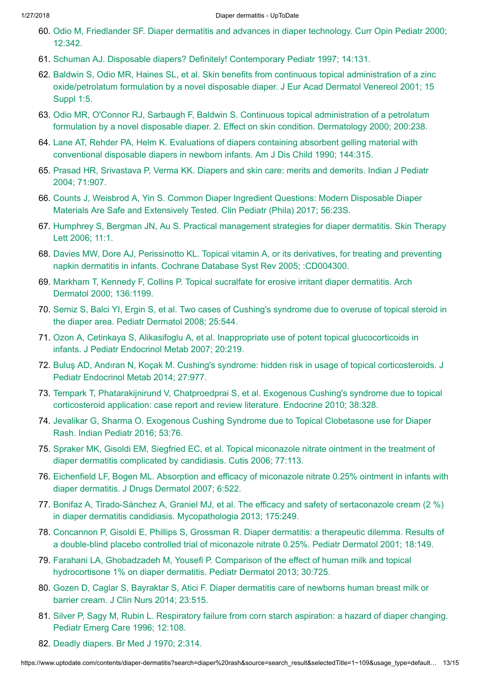- 60. Odio M, [Friedlander](https://www.uptodate.com/contents/diaper-dermatitis/abstract/60) SF. Diaper dermatitis and advances in diaper technology. Curr Opin Pediatr 2000; 12:342.
- 61. Schuman AJ. Disposable diapers? Definitely! [Contemporary](https://www.uptodate.com/contents/diaper-dermatitis/abstract/61) Pediatr 1997; 14:131.
- 62. Baldwin S, Odio MR, Haines SL, et al. Skin benefits from continuous topical administration of a zinc oxide/petrolatum formulation by a novel disposable diaper. J Eur Acad [Dermatol Venereol 2001;](https://www.uptodate.com/contents/diaper-dermatitis/abstract/62) 15 Suppl 1:5.
- 63. Odio MR, O'Connor RJ, Sarbaugh F, Baldwin S. Continuous [topical administration](https://www.uptodate.com/contents/diaper-dermatitis/abstract/63) of a petrolatum formulation by a novel disposable diaper. 2. Effect on skin condition. Dermatology 2000; 200:238.
- 64. Lane AT, Rehder PA, Helm K. Evaluations of diapers containing absorbent gelling material with [conventional disposable](https://www.uptodate.com/contents/diaper-dermatitis/abstract/64) diapers in newborn infants. Am J Dis Child 1990; 144:315.
- 65. Prasad HR, [Srivastava](https://www.uptodate.com/contents/diaper-dermatitis/abstract/65) P, Verma KK. Diapers and skin care: merits and demerits. Indian J Pediatr 2004; 71:907.
- 66. Counts J, Weisbrod A, Yin S. Common Diaper Ingredient Questions: Modern Disposable Diaper Materials Are Safe and [Extensively](https://www.uptodate.com/contents/diaper-dermatitis/abstract/66) Tested. Clin Pediatr (Phila) 2017; 56:23S.
- 67. Humphrey S, Bergman JN, Au S. [Practical management](https://www.uptodate.com/contents/diaper-dermatitis/abstract/67) strategies for diaper dermatitis. Skin Therapy Lett 2006; 11:1.
- 68. Davies MW, Dore AJ, Perissinotto KL. [Topical vitamin](https://www.uptodate.com/contents/diaper-dermatitis/abstract/68) A, or its derivatives, for treating and preventing napkin dermatitis in infants. Cochrane Database Syst Rev 2005; :CD004300.
- 69. Markham T, Kennedy F, Collins P. [Topical sucralfate](https://www.uptodate.com/contents/diaper-dermatitis/abstract/69) for erosive irritant diaper dermatitis. Arch Dermatol 2000; 136:1199.
- 70. Semiz S, Balci YI, Ergin S, et al. Two cases of Cushing's syndrome due to overuse of topical steroid in the diaper area. Pediatr [Dermatol 2008;](https://www.uptodate.com/contents/diaper-dermatitis/abstract/70) 25:544.
- 71. Ozon A, Cetinkaya S, Alikasifoglu A, et al. Inappropriate use of potent [topical glucocorticoids](https://www.uptodate.com/contents/diaper-dermatitis/abstract/71) in infants. J Pediatr Endocrinol Metab 2007; 20:219.
- 72. Buluş AD, Andıran N, Koçak M. Cushing's syndrome: hidden risk in usage of [topical corticosteroids.](https://www.uptodate.com/contents/diaper-dermatitis/abstract/72) J Pediatr Endocrinol Metab 2014; 27:977.
- 73. Tempark T, Phatarakijnirund V, [Chatproedprai S,](https://www.uptodate.com/contents/diaper-dermatitis/abstract/73) et al. Exogenous Cushing's syndrome due to topical corticosteroid application: case report and review literature. Endocrine 2010; 38:328.
- 74. Jevalikar G, Sharma O. Exogenous Cushing Syndrome due to [Topical Clobetasone](https://www.uptodate.com/contents/diaper-dermatitis/abstract/74) use for Diaper Rash. Indian Pediatr 2016; 53:76.
- 75. Spraker MK, Gisoldi EM, Siegfried EC, et al. [Topical miconazole](https://www.uptodate.com/contents/diaper-dermatitis/abstract/75) nitrate ointment in the treatment of diaper dermatitis complicated by candidiasis. Cutis 2006; 77:113.
- 76. Eichenfield LF, Bogen ML. Absorption and efficacy of miconazole nitrate 0.25% ointment in infants with diaper dermatitis. J Drugs [Dermatol 2007;](https://www.uptodate.com/contents/diaper-dermatitis/abstract/76) 6:522.
- 77. Bonifaz A, [Tirado-Sánchez](https://www.uptodate.com/contents/diaper-dermatitis/abstract/77) A, Graniel MJ, et al. The efficacy and safety of sertaconazole cream (2 %) in diaper dermatitis candidiasis. Mycopathologia 2013; 175:249.
- 78. Concannon P, Gisoldi E, Phillips S, Grossman R. Diaper dermatitis: a therapeutic dilemma. Results of a double-blind placebo controlled trial of miconazole nitrate 0.25%. Pediatr [Dermatol 2001;](https://www.uptodate.com/contents/diaper-dermatitis/abstract/78) 18:149.
- 79. Farahani LA, Ghobadzadeh M, Yousefi P. Comparison of the effect of human milk and topical hydrocortisone 1% on diaper dermatitis. Pediatr [Dermatol 2013;](https://www.uptodate.com/contents/diaper-dermatitis/abstract/79) 30:725.
- 80. Gozen D, Caglar S, Bayraktar S, Atici F. Diaper dermatitis care of [newborns](https://www.uptodate.com/contents/diaper-dermatitis/abstract/80) human breast milk or barrier cream. J Clin Nurs 2014; 23:515.
- 81. Silver P, Sagy M, Rubin L. [Respiratory](https://www.uptodate.com/contents/diaper-dermatitis/abstract/81) failure from corn starch aspiration: a hazard of diaper changing. Pediatr Emerg Care 1996; 12:108.
- 82. Deadly [diapers.](https://www.uptodate.com/contents/diaper-dermatitis/abstract/82) Br Med J 1970; 2:314.